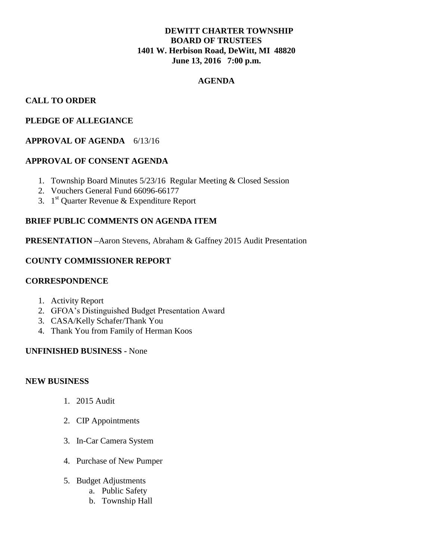# **DEWITT CHARTER TOWNSHIP BOARD OF TRUSTEES 1401 W. Herbison Road, DeWitt, MI 48820 June 13, 2016 7:00 p.m.**

#### **AGENDA**

## **CALL TO ORDER**

# **PLEDGE OF ALLEGIANCE**

# **APPROVAL OF AGENDA** 6/13/16

## **APPROVAL OF CONSENT AGENDA**

- 1. Township Board Minutes 5/23/16 Regular Meeting & Closed Session
- 2. Vouchers General Fund 66096-66177
- 3.  $1<sup>st</sup>$  Quarter Revenue & Expenditure Report

## **BRIEF PUBLIC COMMENTS ON AGENDA ITEM**

**PRESENTATION –**Aaron Stevens, Abraham & Gaffney 2015 Audit Presentation

## **COUNTY COMMISSIONER REPORT**

#### **CORRESPONDENCE**

- 1. Activity Report
- 2. GFOA's Distinguished Budget Presentation Award
- 3. CASA/Kelly Schafer/Thank You
- 4. Thank You from Family of Herman Koos

#### **UNFINISHED BUSINESS -** None

#### **NEW BUSINESS**

- 1. 2015 Audit
- 2. CIP Appointments
- 3. In-Car Camera System
- 4. Purchase of New Pumper
- 5. Budget Adjustments
	- a. Public Safety
	- b. Township Hall